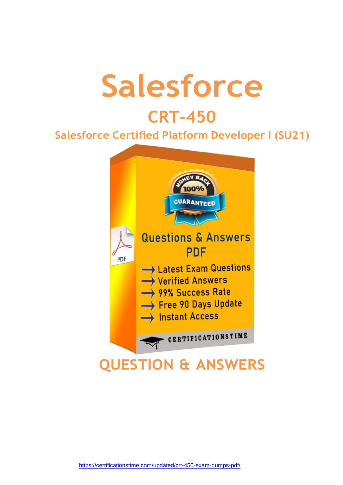# **Salesforce**

## **CRT-450**

### **Salesforce Certified Platform Developer I (SU21)**



<https://certificationstime.com/updated/crt-450-exam-dumps-pdf/>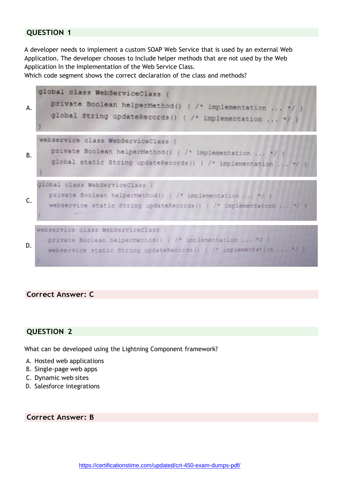A developer needs to implement a custom SOAP Web Service that is used by an external Web Application. The developer chooses to Include helper methods that are not used by the Web Application In the Implementation of the Web Service Class.

Which code segment shows the correct declaration of the class and methods?



#### **Correct Answer: C**

#### **QUESTION 2**

What can be developed using the Lightning Component framework?

- A. Hosted web applications
- B. Single-page web apps
- C. Dynamic web sites
- D. Salesforce integrations

**Correct Answer: B**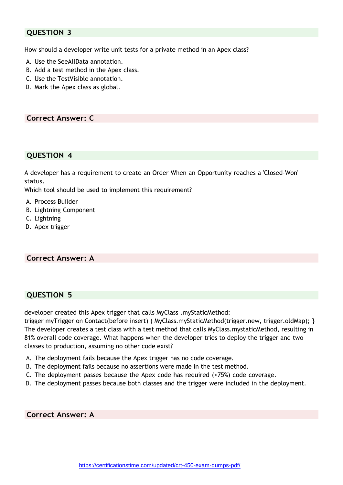How should a developer write unit tests for a private method in an Apex class?

- A. Use the SeeAllData annotation.
- B. Add a test method in the Apex class.
- C. Use the TestVisible annotation.
- D. Mark the Apex class as global.

#### **Correct Answer: C**

#### **QUESTION 4**

A developer has a requirement to create an Order When an Opportunity reaches a 'Closed-Won' status.

Which tool should be used to implement this requirement?

- A. Process Builder
- B. Lightning Component
- C. Lightning
- D. Apex trigger

#### **Correct Answer: A**

#### **QUESTION 5**

developer created this Apex trigger that calls MyClass .myStaticMethod:

trigger myTrigger on Contact(before insert) ( MyClass.myStaticMethod(trigger.new, trigger.oldMap); } The developer creates a test class with a test method that calls MyClass.mystaticMethod, resulting in 81% overall code coverage. What happens when the developer tries to deploy the trigger and two classes to production, assuming no other code exist?

- A. The deployment fails because the Apex trigger has no code coverage.
- B. The deployment fails because no assertions were made in the test method.
- C. The deployment passes because the Apex code has required (>75%) code coverage.
- D. The deployment passes because both classes and the trigger were included in the deployment.

**Correct Answer: A**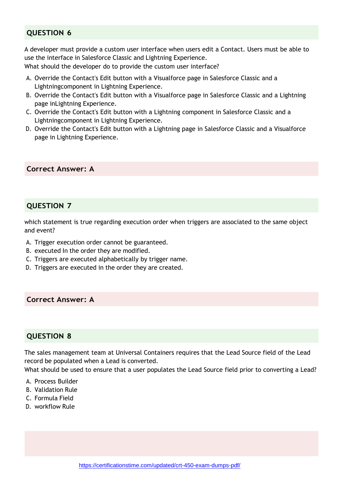A developer must provide a custom user interface when users edit a Contact. Users must be able to use the interface in Salesforce Classic and Lightning Experience.

What should the developer do to provide the custom user interface?

- A. Override the Contact's Edit button with a Visualforce page in Salesforce Classic and a Lightningcomponent in Lightning Experience.
- B. Override the Contact's Edit button with a Visualforce page in Salesforce Classic and a Lightning page inLightning Experience.
- C. Override the Contact's Edit button with a Lightning component in Salesforce Classic and a Lightningcomponent in Lightning Experience.
- D. Override the Contact's Edit button with a Lightning page in Salesforce Classic and a Visualforce page in Lightning Experience.

#### **Correct Answer: A**

#### **QUESTION 7**

which statement is true regarding execution order when triggers are associated to the same object and event?

- A. Trigger execution order cannot be guaranteed.
- B. executed In the order they are modified.
- C. Triggers are executed alphabetically by trigger name.
- D. Triggers are executed in the order they are created.

**Correct Answer: A**

#### **QUESTION 8**

The sales management team at Universal Containers requires that the Lead Source field of the Lead record be populated when a Lead is converted.

What should be used to ensure that a user populates the Lead Source field prior to converting a Lead?

- A. Process Builder
- B. Validation Rule
- C. Formula Field
- D. workflow Rule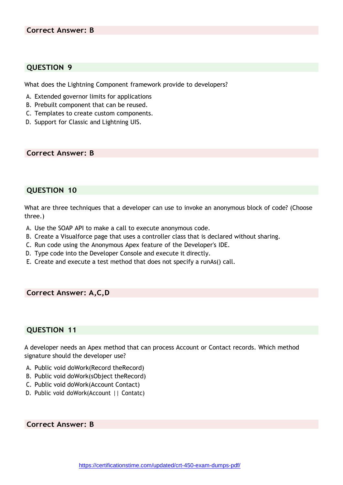What does the Lightning Component framework provide to developers?

- A. Extended governor limits for applications
- B. Prebuilt component that can be reused.
- C. Templates to create custom components.
- D. Support for Classic and Lightning UIS.

**Correct Answer: B**

#### **QUESTION 10**

What are three techniques that a developer can use to invoke an anonymous block of code? (Choose three.)

- A. Use the SOAP API to make a call to execute anonymous code.
- B. Create a Visualforce page that uses a controller class that is declared without sharing.
- C. Run code using the Anonymous Apex feature of the Developer's IDE.
- D. Type code into the Developer Console and execute it directly.
- E. Create and execute a test method that does not specify a runAs() call.

#### **Correct Answer: A,C,D**

#### **QUESTION 11**

A developer needs an Apex method that can process Account or Contact records. Which method signature should the developer use?

- A. Public void doWork(Record theRecord)
- B. Public void doWork(sObject theRecord)
- C. Public void doWork(Account Contact)
- D. Public void doWork(Account || Contatc)

**Correct Answer: B**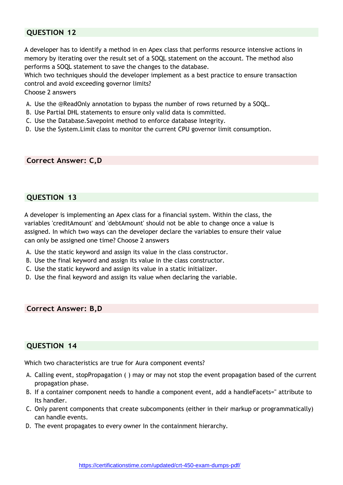A developer has to identify a method in en Apex class that performs resource intensive actions in memory by iterating over the result set of a SOQL statement on the account. The method also performs a SOQL statement to save the changes to the database.

Which two techniques should the developer implement as a best practice to ensure transaction control and avoid exceeding governor limits?

Choose 2 answers

- A. Use the @ReadOnly annotation to bypass the number of rows returned by a SOQL.
- B. Use Partial DHL statements to ensure only valid data is committed.
- C. Use the Database.Savepoint method to enforce database Integrity.
- D. Use the System.Limit class to monitor the current CPU governor limit consumption.

**Correct Answer: C,D**

#### **QUESTION 13**

A developer is implementing an Apex class for a financial system. Within the class, the variables 'creditAmount' and 'debtAmount' should not be able to change once a value is assigned. In which two ways can the developer declare the variables to ensure their value can only be assigned one time? Choose 2 answers

- A. Use the static keyword and assign its value in the class constructor.
- B. Use the final keyword and assign its value in the class constructor.
- C. Use the static keyword and assign its value in a static initializer.
- D. Use the final keyword and assign its value when declaring the variable.

**Correct Answer: B,D**

#### **QUESTION 14**

Which two characteristics are true for Aura component events?

- A. Calling event, stopPropagation ( ) may or may not stop the event propagation based of the current propagation phase.
- B. If a container component needs to handle a component event, add a handleFacets='' attribute to Its handler.
- C. Only parent components that create subcomponents (either in their markup or programmatically) can handle events.
- D. The event propagates to every owner In the containment hierarchy.